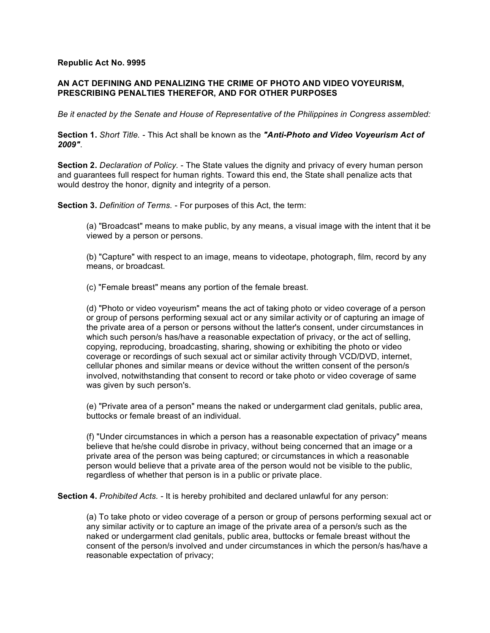## **Republic Act No. 9995**

## **AN ACT DEFINING AND PENALIZING THE CRIME OF PHOTO AND VIDEO VOYEURISM, PRESCRIBING PENALTIES THEREFOR, AND FOR OTHER PURPOSES**

*Be it enacted by the Senate and House of Representative of the Philippines in Congress assembled:*

**Section 1.** *Short Title.* - This Act shall be known as the *"Anti-Photo and Video Voyeurism Act of 2009"*.

**Section 2.** *Declaration of Policy.* - The State values the dignity and privacy of every human person and guarantees full respect for human rights. Toward this end, the State shall penalize acts that would destroy the honor, dignity and integrity of a person.

**Section 3.** *Definition of Terms.* - For purposes of this Act, the term:

(a) "Broadcast" means to make public, by any means, a visual image with the intent that it be viewed by a person or persons.

(b) "Capture" with respect to an image, means to videotape, photograph, film, record by any means, or broadcast.

(c) "Female breast" means any portion of the female breast.

(d) "Photo or video voyeurism" means the act of taking photo or video coverage of a person or group of persons performing sexual act or any similar activity or of capturing an image of the private area of a person or persons without the latter's consent, under circumstances in which such person/s has/have a reasonable expectation of privacy, or the act of selling, copying, reproducing, broadcasting, sharing, showing or exhibiting the photo or video coverage or recordings of such sexual act or similar activity through VCD/DVD, internet, cellular phones and similar means or device without the written consent of the person/s involved, notwithstanding that consent to record or take photo or video coverage of same was given by such person's.

(e) "Private area of a person" means the naked or undergarment clad genitals, public area, buttocks or female breast of an individual.

(f) "Under circumstances in which a person has a reasonable expectation of privacy" means believe that he/she could disrobe in privacy, without being concerned that an image or a private area of the person was being captured; or circumstances in which a reasonable person would believe that a private area of the person would not be visible to the public, regardless of whether that person is in a public or private place.

**Section 4.** *Prohibited Acts.* - It is hereby prohibited and declared unlawful for any person:

(a) To take photo or video coverage of a person or group of persons performing sexual act or any similar activity or to capture an image of the private area of a person/s such as the naked or undergarment clad genitals, public area, buttocks or female breast without the consent of the person/s involved and under circumstances in which the person/s has/have a reasonable expectation of privacy;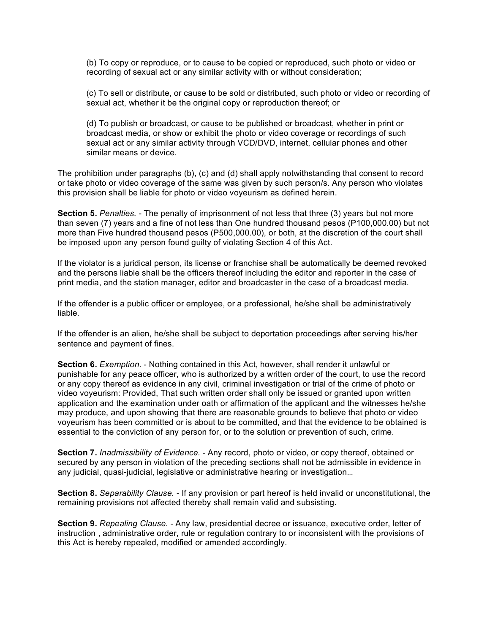(b) To copy or reproduce, or to cause to be copied or reproduced, such photo or video or recording of sexual act or any similar activity with or without consideration;

(c) To sell or distribute, or cause to be sold or distributed, such photo or video or recording of sexual act, whether it be the original copy or reproduction thereof; or

(d) To publish or broadcast, or cause to be published or broadcast, whether in print or broadcast media, or show or exhibit the photo or video coverage or recordings of such sexual act or any similar activity through VCD/DVD, internet, cellular phones and other similar means or device.

The prohibition under paragraphs (b), (c) and (d) shall apply notwithstanding that consent to record or take photo or video coverage of the same was given by such person/s. Any person who violates this provision shall be liable for photo or video voyeurism as defined herein.

**Section 5.** *Penalties.* - The penalty of imprisonment of not less that three (3) years but not more than seven (7) years and a fine of not less than One hundred thousand pesos (P100,000.00) but not more than Five hundred thousand pesos (P500,000.00), or both, at the discretion of the court shall be imposed upon any person found guilty of violating Section 4 of this Act.

If the violator is a juridical person, its license or franchise shall be automatically be deemed revoked and the persons liable shall be the officers thereof including the editor and reporter in the case of print media, and the station manager, editor and broadcaster in the case of a broadcast media.

If the offender is a public officer or employee, or a professional, he/she shall be administratively liable.

If the offender is an alien, he/she shall be subject to deportation proceedings after serving his/her sentence and payment of fines.

**Section 6.** *Exemption.* - Nothing contained in this Act, however, shall render it unlawful or punishable for any peace officer, who is authorized by a written order of the court, to use the record or any copy thereof as evidence in any civil, criminal investigation or trial of the crime of photo or video voyeurism: Provided, That such written order shall only be issued or granted upon written application and the examination under oath or affirmation of the applicant and the witnesses he/she may produce, and upon showing that there are reasonable grounds to believe that photo or video voyeurism has been committed or is about to be committed, and that the evidence to be obtained is essential to the conviction of any person for, or to the solution or prevention of such, crime.

**Section 7.** *Inadmissibility of Evidence.* - Any record, photo or video, or copy thereof, obtained or secured by any person in violation of the preceding sections shall not be admissible in evidence in any judicial, quasi-judicial, legislative or administrative hearing or investigation.

**Section 8.** *Separability Clause.* - If any provision or part hereof is held invalid or unconstitutional, the remaining provisions not affected thereby shall remain valid and subsisting.

**Section 9.** *Repealing Clause.* - Any law, presidential decree or issuance, executive order, letter of instruction , administrative order, rule or regulation contrary to or inconsistent with the provisions of this Act is hereby repealed, modified or amended accordingly.